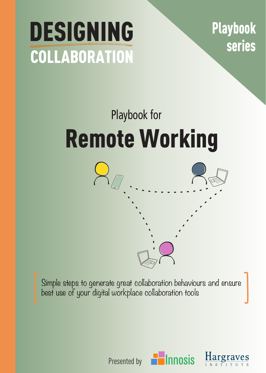# **DESIGNING** DESIGNING **COLLABORATION**

**Playbook series**

# **Remote Working** Playbook for



Simple steps to generate great collaboration behaviours and ensure best use of your digital workplace collaboration tools

Presented by



Innosis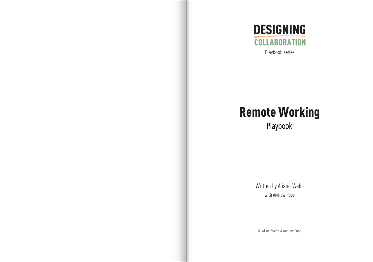

# **Remote Working**

Playbook

Written by Alister Webb with Andrew Pope

© Alister Webb & Andrew Pope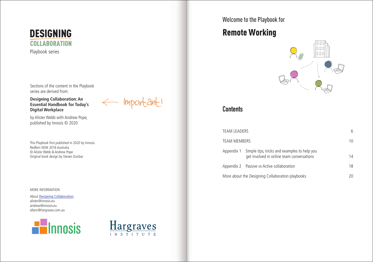

Sections of the content in the Playbook series are derived from:

#### **Designing Collaboration: An Essential Handbook for Today's Digital Workplace**

Important!

by Alister Webb with Andrew Pope, published by Innosis © 2020

This Playbook first published in 2020 by Innosis Redfern NSW 2016 Australia © Alister Webb & Andrew Pope Original book design by Steven Dunbar

#### MORE INFORMATION

About [Designing Collaboration](http://bit.ly/Digital-Collaboration) alister@innosis.eu andrew@innosis.eu allanr@hargraves.com.au





Welcome to the Playbook for

# **Remote Working**



**Contents**

| <b>TEAM LEADERS</b> |                                                                                                      |    |
|---------------------|------------------------------------------------------------------------------------------------------|----|
| <b>TEAM MEMBERS</b> |                                                                                                      | 10 |
|                     | Appendix 1 Simple tips, tricks and examples to help you<br>get involved in online team conversations | 14 |
|                     | Appendix 2 Passive vs Active collaboration                                                           | 18 |
|                     | More about the Designing Collaboration playbooks                                                     | 20 |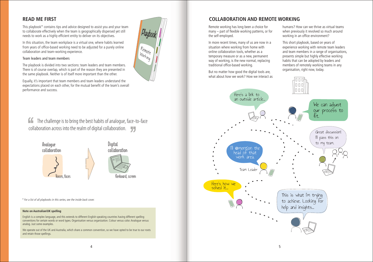#### **READ ME FIRST**

This playbook\* contains tips and advice designed to assist you and your team to collaborate effectively when the team is geographically dispersed yet still needs to work as a highly efficient entity to deliver on its objectives.

In this situation, the team workplace is a virtual one, where habits learned from years of office-based working need to be adjusted for a purely online collaboration and team-working experience.

#### Team leaders and team members

The playbook is divided into two sections: team leaders and team members. There is of course overlap, which is part of the reason they are presented in the same playbook. Neither is of itself more important than the other.

Equally, it's important that team members and team leaders understand the expectations placed on each other, for the mutual benefit of the team's overall performance and success.

The challenge is to bring the best habits of analogue, face-to-face **Collaboration across into the realm of digital collaboration.**  $\overline{a}$ 



*\* For a list of all playbooks in this series, see the inside back cover.*

#### **Note on Australian/UK spelling**

English is a complex language, and this extends to different English-speaking countries having different spelling conventions for certain words or word types. Organisation versus organization. Colour versus color. Analogue versus analog. Just some examples.

We operate out of the UK and Australia, which share a common convention, so we have opted to be true to our roots and retain those spellings.



#### **COLLABORATION AND REMOTE WORKING**

Remote working has long been a choice for many – part of flexible working patterns, or for the self-employed.

In more recent times, many of us are now in a situation where working from home with online collaboration tools, whether as a temporary measure or as a new, permanent way of working, is the new normal, replacing traditional office-based working.

But no matter how good the digital tools are, what about *how* we work? How we interact as humans? How can we thrive as virtual teams when previously it revolved so much around working in an office environment?

This short playbook, based on years of experience working with remote team leaders and team members in a range of organisations, presents simple but highly effective working habits that can be adopted by leaders and members of remotely working teams in any organisation, right now, today.

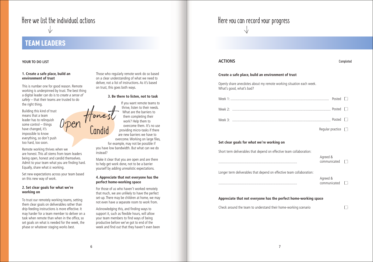# <span id="page-4-0"></span>**Here we list the individual actions**

## **TEAM LEADERS**

#### **YOUR TO DO LIST**

#### **1. Create a safe place, build an environment of trust**

This is number one for good reason. Remote working is underpinned by trust. The best thing a digital leader can do is to *create a sense of safety* – that their teams are trusted to do the right thing.

Building this kind of trust means that a team leader has to relinquish some control – things have changed, it's impossible to know everything, so don't push too hard, too soon.

Remote working thrives when we are honest. This all stems from team leaders being open, honest and candid themselves. Admit to your team what you are finding hard. Equally, share what *is* working.

Set new expectations across your team based on this new way of work.

#### **2. Set clear goals for what we're working on**

To trust our remotely working teams, setting them clear goals on deliverables rather than drip-feeding instructions is more effective. It may harder for a team member to deliver on a task when remote than when in the office, so set goals on what is needed for the week, the phase or whatever staging works best.

deliver, not a list of instructions. As it's based on trust, this goes both ways. **3. Be there to listen, not to task**

Those who regularly remote work do so based on a clear understanding of what we need to

If you want remote teams to thrive, listen to their needs. What are the barriers to them completing their work? Help them to overcome them. It's no use providing micro-tasks if there are new barriers we have to overcome. Working on large files, for example, may not be possible if you have low bandwidth. But what can we do Honest

> Make it clear that you are open and are there to help get work done, not to be a barrier yourself by adding unrealistic expectations.

#### **4. Appreciate that not everyone has the perfect home-working space**

For those of us who haven't worked remotely that much, we are unlikely to have the perfect set-up. There may be children at home, we may not even have a separate room to work from.

Acknowledging this, and finding ways to support it, such as flexible hours, will allow your team members to find ways of being productive before we've got to end of the week and find out that they haven't even been

# **Here you can record your progress**

#### **ACTIONS**

Completed

#### **Create a safe place, build an environment of trust**

Openly share anecdotes about my remote working situation each week. What's good, what's bad?

|           | Posted $  \cdot  $ |  |
|-----------|--------------------|--|
| Week 7.   | $P$ nsted          |  |
| ۹۰ - Maak | $Ported$           |  |

Regular practice  $\square$ 

#### **Set clear goals for what we're working on**

Short term deliverables that depend on effective team collaboration:

.......................................................................................

.......................................................................................

| Agreed &     |  |
|--------------|--|
| communicated |  |

Longer term deliverables that depend on effective team collaboration:

Agreed & communicated

 $\Box$ 

#### **Appreciate that not everyone has the perfect home-working space**

Check around the team to understand their home-working scenario

![](_page_4_Picture_30.jpeg)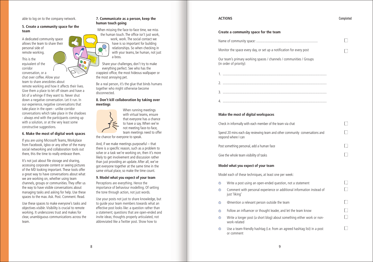#### able to log on to the company network.

#### **5. Create a community space for the team**

A dedicated community space allows the team to share their personal side of remote working.

This is the  $\overline{\circ}$ equivalent of the Qo, corridor conversation, or a chat over coffee. Allow your team to share anecdotes about remote working and how it affects their lives. Give them a place to let off steam and have a bit of a whinge if they want to. Never shut down a negative conversation. Let it run. In our experience, negative conversations that take place in the open - unlike corridor conversations which take place in the shadows - always end with the participants coming up with a solution, or at the very least some constructive suggestions.

#### **6. Make the most of digital work spaces**

If you are using Microsoft Teams, Workplace from Facebook, Igloo or any other of the many social networking and collaboration tools out there, this the time to really embrace them.

It's not just about file storage and sharing, accessing corporate content or seeing pictures of the MD looking important. These tools offer a great way to have conversations about what we are working on, whether using team channels, groups or communities. They offer us the way to have visible conversations about managing tasks and asking for help. Use these spaces to the max. Ask. Post. Comment. Read.

Use these spaces to make everyone's tasks and objectives *visible*. Visibility is crucial to remote working. It underscores trust and makes for clear, unambiguous communications across the team.

#### **7. Communicate as a person, keep the human touch going**

When missing the face-to-face time, we miss the human touch. The office isn't just work, work, work. The social contact we have is so important for building relationships. So when checking in with your teams, be human, not just a boss.

Share your challenges, don't try to make everything perfect. See who has the crappiest office, the most hideous wallpaper or the most annoying pet.

Be a real person, it's the glue that binds humans together who might otherwise become disconnected.

#### **8. Don't kill collaboration by taking over meetings**

When running meetings with virtual teams, ensure that everyone has a chance to have a say. When we're not meeting face-to-face, team meetings need to offer

the chance for everyone to speak.

And, if we make meetings purposeful – that there is a specific reason, such as a problem to solve or a task we're working on, then it's more likely to get involvement and discussion rather than just providing an update. After all, we've got everyone together at the same time in the same virtual place, so make the time count.

#### **9. Model what you expect of your team**

Perceptions are everything. Hence the importance of behaviour modelling. Of setting the tone through action, not just words.

Use your posts not just to share knowledge, but to guide your team members towards what an effective post looks like: a question rather than a statement; questions that are open-ended and invite ideas; thoughts properly articulated, not abbreviated like a Twitter post. Show how to

#### **ACTIONS** Completed

#### **Create a community space for the team**

Name of community space: ....................................................................  $\Box$ 

Monitor the space every day, or set up a notification for every post

Our team's primary working spaces / channels / communities / Groups (in order of priority):

## 1. ................................................................................................................... 2. ................................................................................................................... 3. ................................................................................................................... 4. ...................................................................................................................

#### **Make the most of digital workspaces**

|            | Check in informally with each member of the team via chat                                          |  |
|------------|----------------------------------------------------------------------------------------------------|--|
|            | Spend 20 mins each day reviewing team and other community conversations and<br>respond where I can |  |
|            | Post something personal, add a human face                                                          |  |
|            | Give the whole team visibility of tasks                                                            |  |
|            | Model what you expect of your team                                                                 |  |
|            | Model each of these techniques, at least one per week:                                             |  |
| ∩          | Write a post using an open-ended question, not a statement                                         |  |
| ∩          | Comment with personal experience or additional information instead of<br>just 'liking'             |  |
| $\bigcirc$ | @mention a relevant person outside the team                                                        |  |
| Ô          | Follow an influencer or thought leader, and let the team know                                      |  |
| Ō          | Write a longer post (a short blog) about something either work or non-<br>work-related             |  |
| ◯          | Use a team-friendly hashtag (i.e. from an agreed hashtag list) in a post<br>or comment             |  |

 $\Box$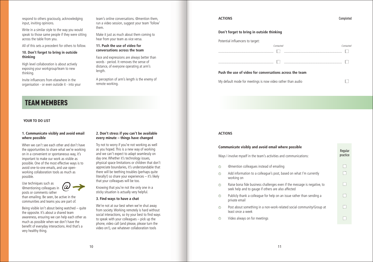<span id="page-6-0"></span>respond to others graciously, acknowledging input, inviting opinions.

Write in a similar style to the way you would speak to those same people if they were sitting across the table from you.

All of this sets a precedent for others to follow.

#### **10. Don't forget to bring in outside thinking**

High level collaboration is about actively exposing your workgroup/team to new thinking.

Invite influencers from elsewhere in the organisation - or even outside it - into your team's online conversations. @mention them, run a video session, suggest your team 'follow' them.

Make it just as much about them coming to hear from your team as vice versa.

#### **11. Push the use of video for conversations across the team**

Face and expressions are always better than words - period. It removes the sense of distance, of everyone operating at arm's length.

A perception of arm's length is the enemy of remote working.

## **TEAM MEMBERS**

#### **YOUR TO DO LIST**

#### **1. Communicate visibly and avoid email where possible**

When we can't see each other and don't have the opportunities to share what we're working on in a convenient or spontaneous way, it's important to make our work as visible as possible. One of the most effective ways is to avoid one-to-one emails, and use openworking collaboration tools as much as possible.

Use techniques such as @mentioning colleagues in  $\alpha$ posts or comments rather

![](_page_6_Picture_16.jpeg)

than emailing. Be seen, be active in the communities and teams you are part of.

Being visible isn't about being watched – quite the opposite. It's about a shared team awareness, ensuring we can help each other as much as possible when we don't have the benefit of everyday interactions. And that's a very healthy thing.

#### **2. Don't stress if you can't be available every minute – things have changed**

Try not to worry if you're not working as well as you hoped. This is a new way of working and we can't expect to adapt seamlessly on day one. Whether it's technology issues, physical space limitations or children that don't appreciate boundaries, it's understandable that there will be teething troubles (perhaps quite literally!) so share your experiences – it's likely that your colleagues will be too.

Knowing that you're not the only one in a sticky situation is actually very helpful.

#### **3. Find ways to have a chat**

We're not at our best when we're shut away from society. Working remotely is hard without social interactions, so try your best to find ways to speak with your colleagues – pick up the phone, video call (and please, please turn the video on!), use whatever collaboration tools

#### **ACTIONS** Completed

#### **Don't forget to bring in outside thinking**

| Potential influencers to target:                            |           |
|-------------------------------------------------------------|-----------|
| Contacted                                                   | Contacted |
|                                                             |           |
|                                                             |           |
| Push the use of video for conversations across the team     |           |
| My default mode for meetings is now video rather than audio |           |

#### **ACTIONS**

#### **Communicate visibly and avoid email where possible** Regular practice Ways I involve myself in the team's activities and communications:  $\bigcirc$ @mention colleagues instead of emailing  $\Box$  $\Box$ Add information to a colleague's post, based on what I'm currently  $\bigcap$ working on Raise bona fide business challenges even if the message is negative, to  $\Box$  $\bigcirc$ seek help and to gauge if others are also affected Publicly thank a colleague for help on an issue rather than sending a  $\Box$  $\bigcirc$ private email Post about something in a non-work-related social community/Group at  $\Box$  $\bigcap$ least once a week Video always on for meetings  $\Box$  $\bigcirc$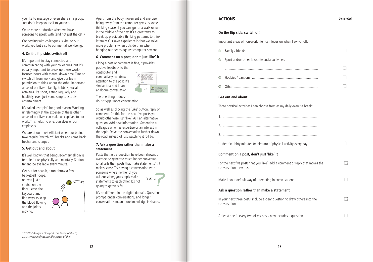you like to message or even share in a group. Just don't keep yourself to yourself.

We're more productive when we have someone to speak with (and not just the cat!).

Connecting with colleagues is vital to our work, yes, but also to our mental well-being.

#### **4. On the flip side, switch off**

It's important to stay connected and communicating with your colleagues, but it's equally important to break up these workfocused hours with mental down time. Time to switch off from work and give our brain permission to think about the other important areas of our lives - family, hobbies, social activities like sport, eating regularly and healthily, even just some simple, escapist entertainment.

It's called 'escapist' for good reason. Working unrelentingly at the expense of these other areas of our lives can make us captives to our work. This helps no one, ourselves or our employers.

We are at our most efficient when our brains take regular 'switch off' breaks and come back fresher and sharper.

#### **5. Get out and about**

It's well known that being sedentary all day is terrible for us physically and mentally. So don't try and be available every minute.

Get out for a walk, a run, throw a few basketball hoops, or even just a stretch on the floor. Leave the keyboard and find ways to keep the blood flowing and the joints

moving.

![](_page_7_Picture_10.jpeg)

Apart from the body movement and exercise, being away from the computer gives us some thinking space. If you can, go for a walk or run in the middle of the day. It's a great way to break up predictable thinking patterns, to think laterally. Our own experience is that we solve more problems when outside than when banging our heads against computer screens.

#### **6. Comment on a post, don't just 'like' it**

Liking a post or comment is fine, it provides positive feedback to the

contributor and cumulatively can draw attention to the post. It's similar to a nod in an analogue conversation.

![](_page_7_Picture_15.jpeg)

The one thing it doesn't do is trigger more conversation.

So as well as clicking the 'Like' button, reply or comment. Do this for the next five posts you would otherwise just 'like'. Ask an alternative question. Add new information. @mention a colleague who has expertise or an interest in the topic. Drive the conversation further down the road instead of just watching it roll by.

#### **7. Ask a question rather than make a statement**

Posts that ask a question have been shown, on average, to generate much longer conversational tails than posts that make statements\*. It makes sense. Try having a conversation with someone where neither of you ask questions, you simply make statements to each other. It's not going to get very far. As k a

It's no different in the digital domain. Questions prompt longer conversations, and longer conversations mean more knowledge is shared.

**On the flip side, switch off**

Important areas of non-work life I can focus on when I switch off:

| ◯          | Family / friends                                                                                        |  |
|------------|---------------------------------------------------------------------------------------------------------|--|
| $\bigcirc$ | Sport and/or other favourite social activities:                                                         |  |
|            |                                                                                                         |  |
| O          |                                                                                                         |  |
| O          |                                                                                                         |  |
|            | Get out and about                                                                                       |  |
|            | Three physical activities I can choose from as my daily exercise break:                                 |  |
|            |                                                                                                         |  |
|            |                                                                                                         |  |
|            |                                                                                                         |  |
|            | Undertake thirty minutes (minimum) of physical activity every day                                       |  |
|            | Comment on a post, don't just 'like' it                                                                 |  |
|            | For the next five posts that you 'like', add a comment or reply that moves the<br>conversation forwards |  |
|            | Make it your default way of interacting in conversations                                                |  |
|            | Ask a question rather than make a statement                                                             |  |
|            | In your next three posts, include a clear question to draw others into the<br>conversation              |  |
|            | At least one in every two of my posts now includes a question                                           |  |

Completed

*<sup>\*</sup> SWOOP Analytics blog post 'The Power of the ?', www.swoopanalytics.com/the-power-of-the/*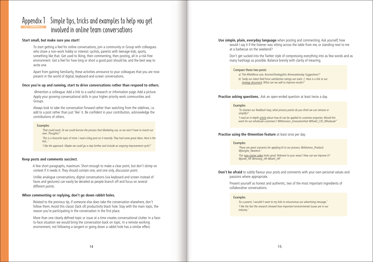## <span id="page-8-0"></span>**Appendix 1 Simple tips, tricks and examples tohelp you get involved in online team conversations**

#### **Start small, but make sure you start!**

To start getting a feel for online conversations, join a community or Group with colleagues who share a non-work hobby or interest: cyclists, parents with teenage kids, sports, something like that. Get used to liking, then commenting, then posting, all in a risk-free environment. Get a feel for how long or short a good post should be, and the best way to write one.

Apart from gaining familiarity, these activities announce to your colleagues that you are now present in the world of digital, keyboard-and-screen conversations.

#### **Once you're up and running, start to drive conversations rather than respond to others.**

@mention a colleague. Add a link to a useful research or information page. Add a picture. Apply your growing conversational skills in your higher priority work communities and Groups.

Always look to take the conversation forward rather than watching from the sidelines, i.e. add to a post rather than just 'like' it. Be confident in your contribution, acknowledge the contributions of others.

#### **Examples**

*'That could work. Or we could borrow the process that Marketing use, so we won't have to invent our own. Thoughts?'*

*'This is a favourite topic of mine. I read a blog post on it recently. They had some great ideas. Here is the link...'*

*'I like the approach. Maybe we could go a step further and include an ongoing improvement cycle?'*

#### **Keep posts and comments succinct.**

A few short paragraphs, maximum. Short enough to make a clear point, but don't skimp on context if it needs it. They should contain one, and one only, discussion point.

Unlike analogue conversations, digital conversations (via keyboard and screen instead of faces and gestures) can easily be derailed as people branch off and focus on several different points.

#### **When commenting or replying, don't go down rabbit holes.**

Related to the previous tip, if someone else does take the conversation elsewhere, don't follow them. Avoid this classic (lack of) productivity black hole. Stay with the main topic, the reason you're participating in the conversation in the first place.

More than one clearly defined topic or issue at a time creates conversational clutter. In a faceto-face situation we would bring the conversation back on topic. In a remote working environment, not following a tangent or going down a rabbit hole has a similar effect.

**Use simple, plain, everyday language** when posting and commenting. Ask yourself, how would I say it if the listener was sitting across the table from me, or standing next to me at a barbecue on the weekend?

Don't get sucked into the Twitter style of compressing everything into as few words and as many hashtags as possible. Balance brevity with clarity of meaning.

#### Compare these two posts:

a) *'Flat #fieldforce sats. #currentStrategyDoc #innovatetoday Suggestions?'* b) *'Sadly our latest field force satisfaction ratings are static :( Here is a link to our strategy document. What can we add to improve results?'*

#### **Practise asking questions.** Ask an open-ended question at least twice a day.

#### **Examples**

*'To shorten our feedback loop, what process points do you think we can remove or simplify?'*

*'I read an in-depth article about how AI can be applied to customer enquiries. Would this work for our wholesale customers? @Mnevison\_InnovationHub @fhalid\_CIO\_Wholesale''*

#### **Practise using the @mention feature** at least once per day.

#### Examples

*'These are great scenarios for applying AI to our process. @dsharma\_Products @jlonghe\_Newtech.'*

*'Our new starter video looks good. Relevant to your areas? How can we improve it? @jsnell\_HR @mxiang\_HR @lzahl\_HR'*

**Don't be afraid** to subtly flavour your posts and comments with your own personal values and passions where appropriate.

Present yourself as honest and authentic, two of the most important ingredients of collaborative conversations.

#### **Examples**

*'As a parent, I wouldn't want to my kids to misconstrue our advertising message.' 'I like the fact the research showed how important environmental issues are in our industry.'*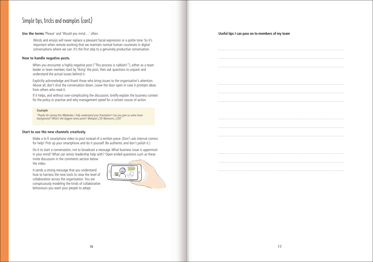## **Simple tips, tricks and examples (cont.)**

**Use the terms** 'Please' and 'Would you mind…' often.

Words and emojis will never replace a pleasant facial expression or a polite tone. So it's important when remote working that we maintain normal human courtesies in digital conversations where we can. It's the first step to a genuinely productive conversation.

#### **How to handle negative posts.**

When you encounter a highly negative post ("This process is rubbish!"), either as a team leader or team member, start by 'liking' the post, then ask questions to unpack and understand the actual issues behind it.

Explicitly acknowledge and thank those who bring issues to the organisation's attention. Above all, don't shut the conversation down. Leave the door open in case it prompts ideas from others who read it.

If it helps, and without over-complicating the discussion, briefly explain the business context for the policy or practise and why management opted for a certain course of action.

#### Example

*'Thanks for raising this @bdenker, I fully understand your frustration! Can you give us some more background? What's the biggest stress point? @skopol\_CIO @amunro\_COO'*

#### **Start to use the new channels creatively.**

Make a lo-fi smartphone video to post instead of a written piece. (Don't ask internal comms for help! Pick up your smartphone and do it yourself. Be authentic and don't polish it.)

Do it to start a conversation, not to broadcast a message. What business issue is uppermost in your mind? What can senior leadership help with? Open-ended questions such as these

invite discussion in the comments section below the video.

It sends a strong message that you understand how to harness the new tools to raise the level of collaboration across the organisation. You are conspicuously modeling the kinds of collaborative behaviours you want your people to adopt.

![](_page_9_Picture_14.jpeg)

#### **Useful tips I can pass on to members of my team**

. . . . . . . . . . . . . . . . . . . . . . . . . . . . . . . . . . . . . . . . . . . . . . . . . . . . . . . . . . . . . . . . . . . . . . . . . . . . . . . .

. . . . . . . . . . . . . . . . . . . . . . . . . . . . . . . . . . . . . . . . . . . . . . . . . . . . . . . . . . . . . . . . . . . . . . . . . . . . . . . .

. . . . . . . . . . . . . . . . . . . . . . . . . . . . . . . . . . . . . . . . . . . . . . . . . . . . . . . . . . . . . . . . . . . . . . . . . . . . . . . .

. . . . . . . . . . . . . . . . . . . . . . . . . . . . . . . . . . . . . . . . . . . . . . . . . . . . . . . . . . . . . . . . . . . . . . . . . . . . . . . .

. . . . . . . . . . . . . . . . . . . . . . . . . . . . . . . . . . . . . . . . . . . . . . . . . . . . . . . . . . . . . . . . . . . . . . . . . . . . . . . .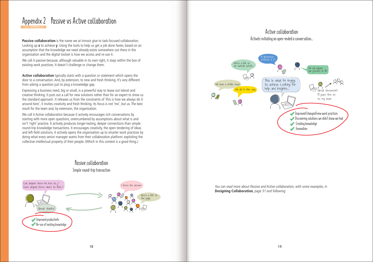# <span id="page-10-0"></span>**Appendix 2 Passive vs Active collaboration**

**Passive collaboration** is the name we at Innosis give to task-focused collaboration. Looking up **x** to achieve **y**. Using the tools to help us get a job done faster, based on an assumption that the knowledge we need already exists somewhere out there in the organisation and the digital toolset is how we access and re-use it.

We call it passive because, although valuable in its own right, it stays within the box of existing work practices. It doesn't challenge or change them.

**Active collaboration** typically starts with a question or statement which opens the door to a conversation. And, by extension, to new and fresh thinking. It's very different from asking a question just to plug a knowledge gap.

Expressing a business need, big or small, is a powerful way to tease out lateral and creative thinking. It puts out a call for new solutions rather than for an expert to show us the standard approach. It releases us from the constraints of 'this is how we always do it around here', it invites creativity and fresh thinking. Its focus is not 'me', but us. The best result for the team and, by extension, the organisation.

We call it Active collaboration because it actively encourages rich conversations by starting with more open questions, unencumbered by assumptions about what is and isn't 'right' practice. It actively produces longer-lasting, deeper connections than simple round-trip knowledge transactions. It encourages creativity, the open tendering of ideas and left-field solutions. It actively opens the organisation up to smarter work practices by doing what every senior manager wants from their collaboration platform: exploiting the collective intellectual property of their people. (Which in this context is a good thing.)

#### **Actively initiating an open-ended a conversation... Active collaboration**

![](_page_10_Figure_7.jpeg)

### **Simple round-trip transaction Passive collaboration**

![](_page_10_Figure_9.jpeg)

*You can read more about Passive and Active collaboration, with some examples, in* **Designing Collaboration***, page 31 and following*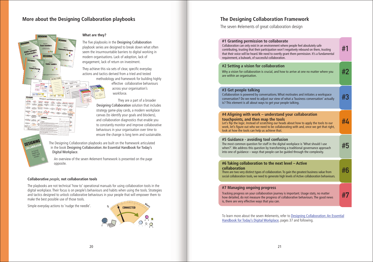#### <span id="page-11-0"></span>**More about the Designing Collaboration playbooks**

# $\frac{1}{\sqrt{2}}$  Month  $\frac{1}{\sqrt{2}}$ **INSTRUCTIONS** Modern workplace canvas

#### **What are they?**

The five playbooks in the Designing Collaboration playbook series are designed to break down what often seem the insurmountable barriers to digital working in modern organisations. Lack of adoption, lack of engagement, lack of return on investment.

They achieve this via sets of clear, specific everyday actions and tactics derived from a tried and tested methodology and framework for building highly

effective collaborative behaviours across your organisation's workforce.

They are a part of a broader Designing Collaboration solution that includes strategy game-play cards, a modern workplace canvas (to identify your goals and blockers), and collaboration diagnostics that enable you to constantly monitor and improve collaborative behaviours in your organisation over time to ensure the change is long term and sustainable.

The Designing Collaboration playbooks are built on the framework articulated in the book Designing Collaboration: An Essential Handbook for Today's Digital Workplace.

An overview of the seven #element framework is presented on the page opposite.

#### **Collaborative** people**, not collaboration tools**

The playbooks are not technical 'how to' operational manuals for using collaboration tools in the digital workplace. Their focus is on people's behaviours and habits when using the tools. Strategies and tactics designed to unlock collaborative behaviours in your people that will empower them to make the best possible use of those tools.

Simple everyday actions to 'nudge the needle'.

![](_page_11_Picture_12.jpeg)

#### **The Designing Collaboration Framework**

The seven #elements of great collaboration design

#### **#1 Granting permission to collaborate**

Collaboration can only exist in an environment where people feel absolutely safe contributing, trusting that their participation won't negatively rebound on them, trusting that their voice will be heard.We need to overtly grant them permission. It's a fundamental requirement, a bulwark, of successful collaboration.

#### **#2 Setting a vision for collaboration**

Why a vision for collaboration is crucial, and how to arrive at one no matter where you are within an organisation.

#### **#3 Get people talking**

Collaboration is powered by conversations. What motivates and initiates a workspace conversation? Do we need to adjust our view of what a 'business conversation' actually is? This element is all about ways to get your people talking.

#### **#4 Aligning with work – understand your collaboration**

**touchpoints, and then map the tools** Let's flip the logic. Instead of scratching our heads about how to apply the tools to our

work, let's figure out who we need to be collaborating with and, once we get that right, look at how the tools can help us achieve that.

#### **#5 Guidance - avoiding tool confusion**

The most common question for staff in the digital workplace is 'What should I use when?'. We address this question by transforming a traditional governance approach into one of guidance – ways that people can be guided through the complexity.

#### **#6 Taking collaboration to the next level – Active**

**collaboration**

There are two very distinct types of collaboration.To gain the greatest business value from social collaboration tools, we need to generate high levels of Active collaboration behaviours.

**#6**

**#5**

**#4**

**#3**

**#2**

**#1**

**#7**

#### **#7 Managing ongoing progress**

Tracking progress on your collaboration journey is important. Usage stats, no matter how detailed, do not measure the progress of collaborative behaviours. The good news is, there are very effective ways that you can.

[To learn more about the seven #elements, refer to](http://bit.ly/Digital-Collaboration) Designing Collaboration: An Essential Handbook for Today's Digital Workplace, pages 37 and following.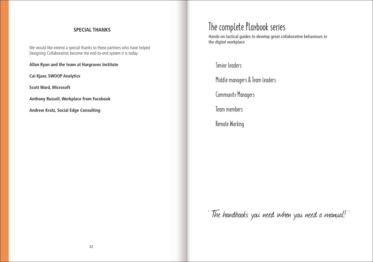#### **SPECIAL THANKS**

We would like extend a special thanks to these partners who have helped Designing Collaboration become the end-to-end system it is today.

**Allan Ryan and the team at Hargraves Institute**

**Cai Kjaer, SWOOP Analytics**

**Scott Ward, Microsoft**

**Anthony Russell, Workplace from Facebook**

**Andrew Kratz, Social Edge Consulting**

# **The complete Playbook series**

Hands-on tactical guides to develop great collaborative behaviours in the digital workplace

**Senior leaders**

**Middle managers & Team leaders**

**Community Managers**

**Team members**

**Remote Working**

' The handbooks you need when you need a manual! '